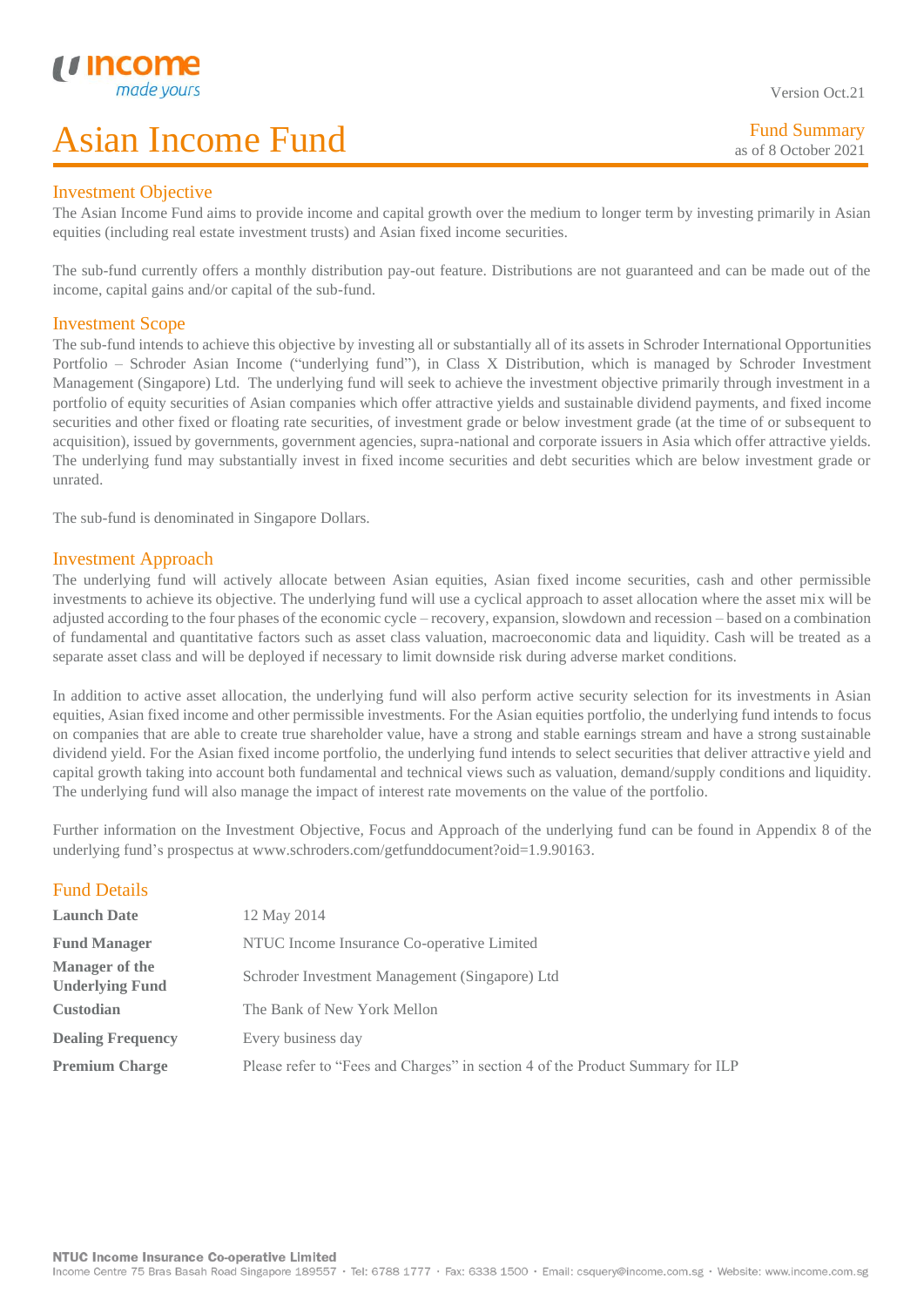### Investment Objective

L

The Asian Income Fund aims to provide income and capital growth over the medium to longer term by investing primarily in Asian equities (including real estate investment trusts) and Asian fixed income securities.

The sub-fund currently offers a monthly distribution pay-out feature. Distributions are not guaranteed and can be made out of the income, capital gains and/or capital of the sub-fund.

### Investment Scope

The sub-fund intends to achieve this objective by investing all or substantially all of its assets in Schroder International Opportunities Portfolio – Schroder Asian Income ("underlying fund"), in Class X Distribution, which is managed by Schroder Investment Management (Singapore) Ltd. The underlying fund will seek to achieve the investment objective primarily through investment in a portfolio of equity securities of Asian companies which offer attractive yields and sustainable dividend payments, and fixed income securities and other fixed or floating rate securities, of investment grade or below investment grade (at the time of or subsequent to acquisition), issued by governments, government agencies, supra-national and corporate issuers in Asia which offer attractive yields. The underlying fund may substantially invest in fixed income securities and debt securities which are below investment grade or unrated.

The sub-fund is denominated in Singapore Dollars.

## Investment Approach

The underlying fund will actively allocate between Asian equities, Asian fixed income securities, cash and other permissible investments to achieve its objective. The underlying fund will use a cyclical approach to asset allocation where the asset mix will be adjusted according to the four phases of the economic cycle – recovery, expansion, slowdown and recession – based on a combination of fundamental and quantitative factors such as asset class valuation, macroeconomic data and liquidity. Cash will be treated as a separate asset class and will be deployed if necessary to limit downside risk during adverse market conditions.

In addition to active asset allocation, the underlying fund will also perform active security selection for its investments in Asian equities, Asian fixed income and other permissible investments. For the Asian equities portfolio, the underlying fund intends to focus on companies that are able to create true shareholder value, have a strong and stable earnings stream and have a strong sustainable dividend yield. For the Asian fixed income portfolio, the underlying fund intends to select securities that deliver attractive yield and capital growth taking into account both fundamental and technical views such as valuation, demand/supply conditions and liquidity. The underlying fund will also manage the impact of interest rate movements on the value of the portfolio.

Further information on the Investment Objective, Focus and Approach of the underlying fund can be found in Appendix 8 of the underlying fund's prospectus at www.schroders.com/getfunddocument?oid=1.9.90163.

## Fund Details

| <b>Launch Date</b>                              | 12 May 2014                                                                    |
|-------------------------------------------------|--------------------------------------------------------------------------------|
| <b>Fund Manager</b>                             | NTUC Income Insurance Co-operative Limited                                     |
| <b>Manager of the</b><br><b>Underlying Fund</b> | Schroder Investment Management (Singapore) Ltd                                 |
| <b>Custodian</b>                                | The Bank of New York Mellon                                                    |
| <b>Dealing Frequency</b>                        | Every business day                                                             |
| <b>Premium Charge</b>                           | Please refer to "Fees and Charges" in section 4 of the Product Summary for ILP |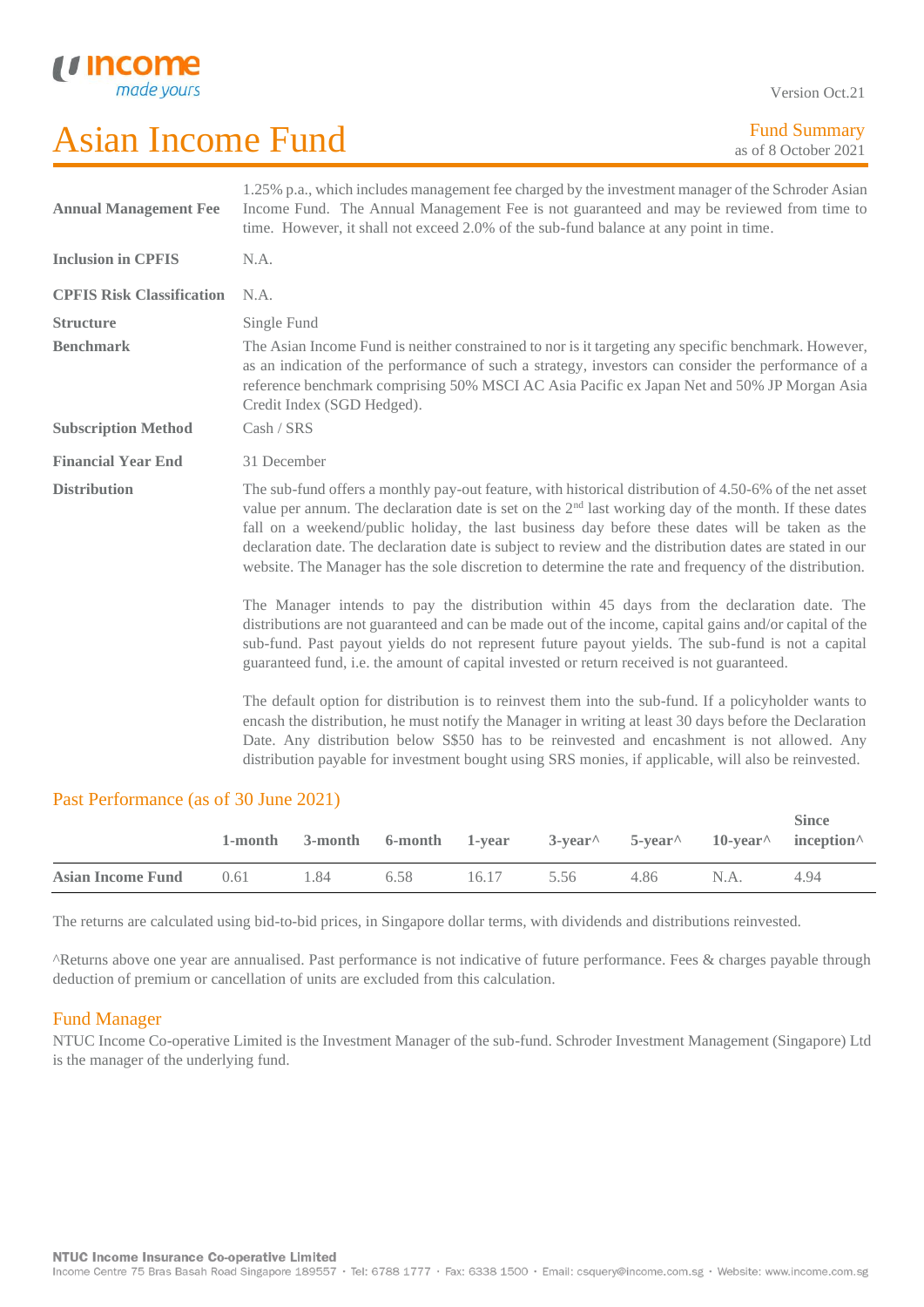U Incor

Version Oct.21

| <b>Annual Management Fee</b>     | 1.25% p.a., which includes management fee charged by the investment manager of the Schroder Asian<br>Income Fund. The Annual Management Fee is not guaranteed and may be reviewed from time to<br>time. However, it shall not exceed 2.0% of the sub-fund balance at any point in time.                                                                                                                                                                                                                                                    |
|----------------------------------|--------------------------------------------------------------------------------------------------------------------------------------------------------------------------------------------------------------------------------------------------------------------------------------------------------------------------------------------------------------------------------------------------------------------------------------------------------------------------------------------------------------------------------------------|
| <b>Inclusion in CPFIS</b>        | N.A.                                                                                                                                                                                                                                                                                                                                                                                                                                                                                                                                       |
| <b>CPFIS Risk Classification</b> | N.A.                                                                                                                                                                                                                                                                                                                                                                                                                                                                                                                                       |
| <b>Structure</b>                 | Single Fund                                                                                                                                                                                                                                                                                                                                                                                                                                                                                                                                |
| <b>Benchmark</b>                 | The Asian Income Fund is neither constrained to nor is it targeting any specific benchmark. However,<br>as an indication of the performance of such a strategy, investors can consider the performance of a<br>reference benchmark comprising 50% MSCI AC Asia Pacific ex Japan Net and 50% JP Morgan Asia<br>Credit Index (SGD Hedged).                                                                                                                                                                                                   |
| <b>Subscription Method</b>       | Cash / SRS                                                                                                                                                                                                                                                                                                                                                                                                                                                                                                                                 |
| <b>Financial Year End</b>        | 31 December                                                                                                                                                                                                                                                                                                                                                                                                                                                                                                                                |
| <b>Distribution</b>              | The sub-fund offers a monthly pay-out feature, with historical distribution of 4.50-6% of the net asset<br>value per annum. The declaration date is set on the $2nd$ last working day of the month. If these dates<br>fall on a weekend/public holiday, the last business day before these dates will be taken as the<br>declaration date. The declaration date is subject to review and the distribution dates are stated in our<br>website. The Manager has the sole discretion to determine the rate and frequency of the distribution. |
|                                  | The Manager intends to pay the distribution within 45 days from the declaration date. The<br>distributions are not guaranteed and can be made out of the income, capital gains and/or capital of the<br>sub-fund. Past payout yields do not represent future payout yields. The sub-fund is not a capital<br>guaranteed fund, i.e. the amount of capital invested or return received is not guaranteed.                                                                                                                                    |
|                                  | The default option for distribution is to reinvest them into the sub-fund. If a policyholder wants to<br>encash the distribution, he must notify the Manager in writing at least 30 days before the Declaration<br>Date. Any distribution below S\$50 has to be reinvested and encashment is not allowed. Any<br>distribution payable for investment bought using SRS monies, if applicable, will also be reinvested.                                                                                                                      |

### Past Performance (as of 30 June 2021)

|                               |      |      |            |      |      | <b>Since</b><br>1-month 3-month 6-month 1-year 3-year $5$ -year $10$ -year inception |
|-------------------------------|------|------|------------|------|------|--------------------------------------------------------------------------------------|
| <b>Asian Income Fund</b> 0.61 | 1.84 | 6.58 | 16.17 5.56 | 4.86 | N.A. | 4.94                                                                                 |
|                               |      |      |            |      |      |                                                                                      |

The returns are calculated using bid-to-bid prices, in Singapore dollar terms, with dividends and distributions reinvested.

^Returns above one year are annualised. Past performance is not indicative of future performance. Fees & charges payable through deduction of premium or cancellation of units are excluded from this calculation.

## Fund Manager

NTUC Income Co-operative Limited is the Investment Manager of the sub-fund. Schroder Investment Management (Singapore) Ltd is the manager of the underlying fund.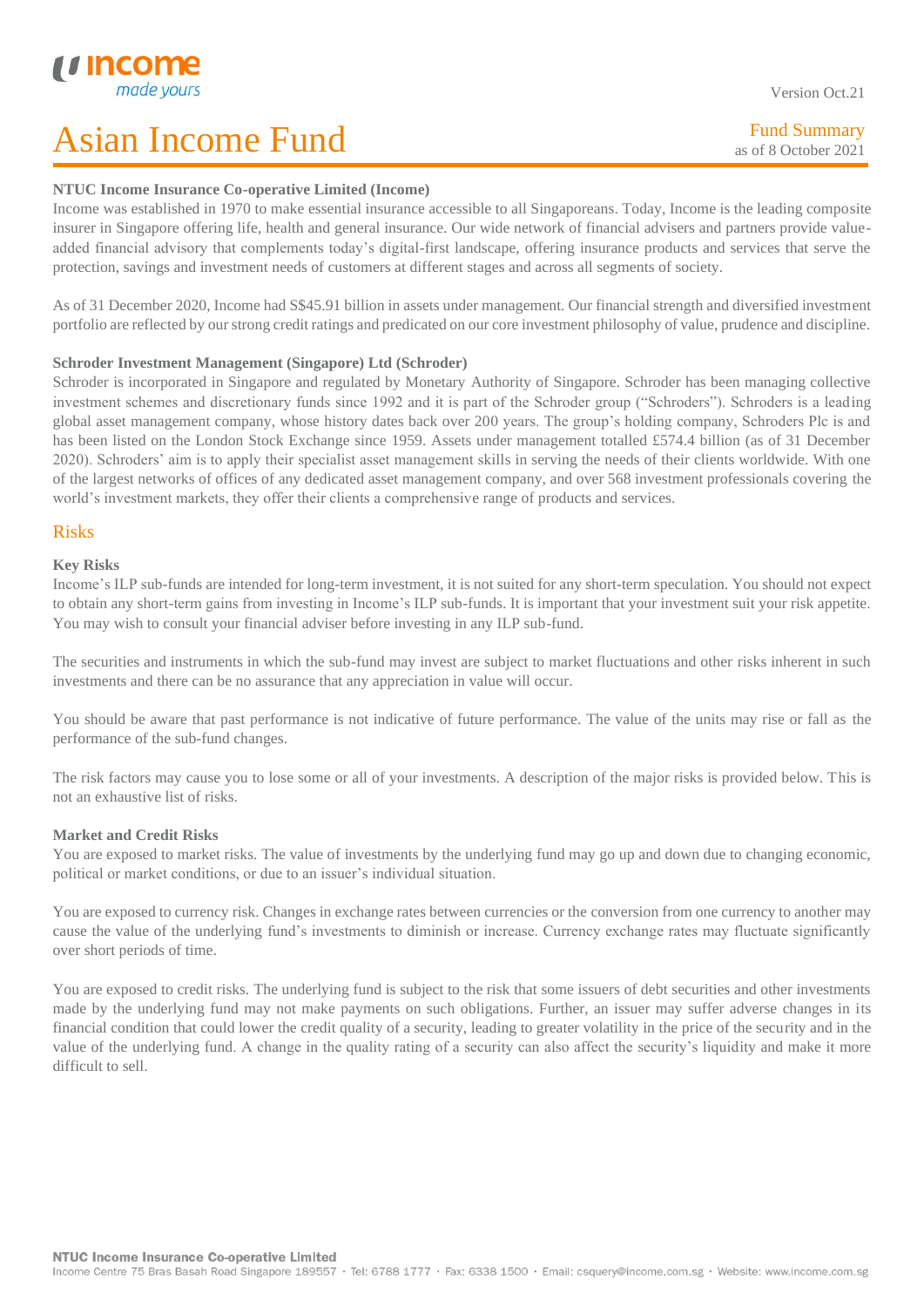Version Oct.21

Fund Summary as of 8 October 2021

### **NTUC Income Insurance Co-operative Limited (Income)**

Income was established in 1970 to make essential insurance accessible to all Singaporeans. Today, Income is the leading composite insurer in Singapore offering life, health and general insurance. Our wide network of financial advisers and partners provide valueadded financial advisory that complements today's digital-first landscape, offering insurance products and services that serve the protection, savings and investment needs of customers at different stages and across all segments of society.

As of 31 December 2020, Income had S\$45.91 billion in assets under management. Our financial strength and diversified investment portfolio are reflected by our strong credit ratings and predicated on our core investment philosophy of value, prudence and discipline.

### **Schroder Investment Management (Singapore) Ltd (Schroder)**

Schroder is incorporated in Singapore and regulated by Monetary Authority of Singapore. Schroder has been managing collective investment schemes and discretionary funds since 1992 and it is part of the Schroder group ("Schroders"). Schroders is a leading global asset management company, whose history dates back over 200 years. The group's holding company, Schroders Plc is and has been listed on the London Stock Exchange since 1959. Assets under management totalled £574.4 billion (as of 31 December 2020). Schroders' aim is to apply their specialist asset management skills in serving the needs of their clients worldwide. With one of the largest networks of offices of any dedicated asset management company, and over 568 investment professionals covering the world's investment markets, they offer their clients a comprehensive range of products and services.

## Risks

L

### **Key Risks**

Income's ILP sub-funds are intended for long-term investment, it is not suited for any short-term speculation. You should not expect to obtain any short-term gains from investing in Income's ILP sub-funds. It is important that your investment suit your risk appetite. You may wish to consult your financial adviser before investing in any ILP sub-fund.

The securities and instruments in which the sub-fund may invest are subject to market fluctuations and other risks inherent in such investments and there can be no assurance that any appreciation in value will occur.

You should be aware that past performance is not indicative of future performance. The value of the units may rise or fall as the performance of the sub-fund changes.

The risk factors may cause you to lose some or all of your investments. A description of the major risks is provided below. This is not an exhaustive list of risks.

### **Market and Credit Risks**

You are exposed to market risks. The value of investments by the underlying fund may go up and down due to changing economic, political or market conditions, or due to an issuer's individual situation.

You are exposed to currency risk. Changes in exchange rates between currencies or the conversion from one currency to another may cause the value of the underlying fund's investments to diminish or increase. Currency exchange rates may fluctuate significantly over short periods of time.

You are exposed to credit risks. The underlying fund is subject to the risk that some issuers of debt securities and other investments made by the underlying fund may not make payments on such obligations. Further, an issuer may suffer adverse changes in its financial condition that could lower the credit quality of a security, leading to greater volatility in the price of the security and in the value of the underlying fund. A change in the quality rating of a security can also affect the security's liquidity and make it more difficult to sell.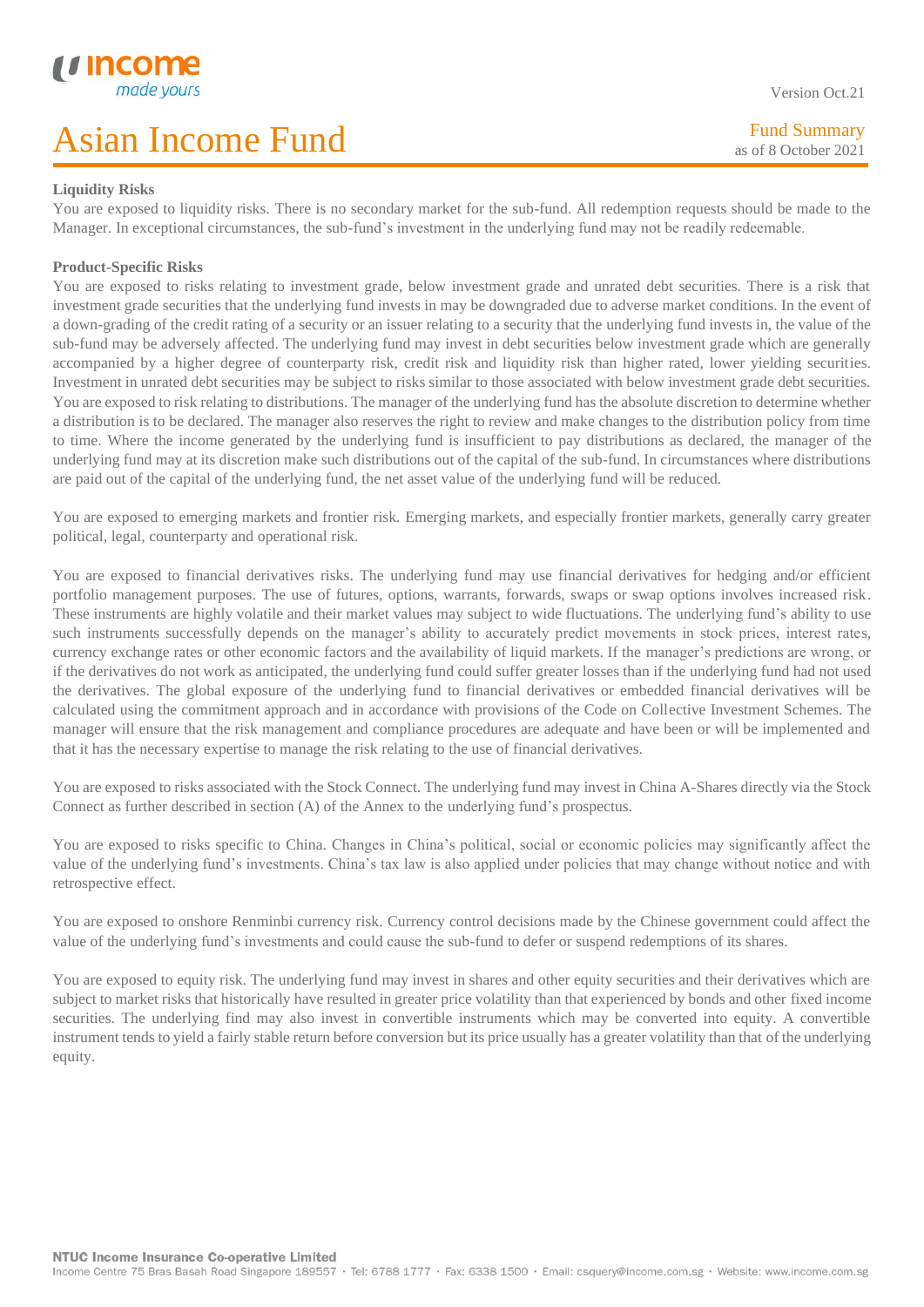#### Version Oct.21

Fund Summary as of 8 October 2021

### L **Liquidity Risks**

You are exposed to liquidity risks. There is no secondary market for the sub-fund. All redemption requests should be made to the Manager. In exceptional circumstances, the sub-fund's investment in the underlying fund may not be readily redeemable.

### **Product-Specific Risks**

You are exposed to risks relating to investment grade, below investment grade and unrated debt securities. There is a risk that investment grade securities that the underlying fund invests in may be downgraded due to adverse market conditions. In the event of a down-grading of the credit rating of a security or an issuer relating to a security that the underlying fund invests in, the value of the sub-fund may be adversely affected. The underlying fund may invest in debt securities below investment grade which are generally accompanied by a higher degree of counterparty risk, credit risk and liquidity risk than higher rated, lower yielding securities. Investment in unrated debt securities may be subject to risks similar to those associated with below investment grade debt securities. You are exposed to risk relating to distributions. The manager of the underlying fund has the absolute discretion to determine whether a distribution is to be declared. The manager also reserves the right to review and make changes to the distribution policy from time to time. Where the income generated by the underlying fund is insufficient to pay distributions as declared, the manager of the underlying fund may at its discretion make such distributions out of the capital of the sub-fund. In circumstances where distributions are paid out of the capital of the underlying fund, the net asset value of the underlying fund will be reduced.

You are exposed to emerging markets and frontier risk. Emerging markets, and especially frontier markets, generally carry greater political, legal, counterparty and operational risk.

You are exposed to financial derivatives risks. The underlying fund may use financial derivatives for hedging and/or efficient portfolio management purposes. The use of futures, options, warrants, forwards, swaps or swap options involves increased risk. These instruments are highly volatile and their market values may subject to wide fluctuations. The underlying fund's ability to use such instruments successfully depends on the manager's ability to accurately predict movements in stock prices, interest rates, currency exchange rates or other economic factors and the availability of liquid markets. If the manager's predictions are wrong, or if the derivatives do not work as anticipated, the underlying fund could suffer greater losses than if the underlying fund had not used the derivatives. The global exposure of the underlying fund to financial derivatives or embedded financial derivatives will be calculated using the commitment approach and in accordance with provisions of the Code on Collective Investment Schemes. The manager will ensure that the risk management and compliance procedures are adequate and have been or will be implemented and that it has the necessary expertise to manage the risk relating to the use of financial derivatives.

You are exposed to risks associated with the Stock Connect. The underlying fund may invest in China A-Shares directly via the Stock Connect as further described in section (A) of the Annex to the underlying fund's prospectus.

You are exposed to risks specific to China. Changes in China's political, social or economic policies may significantly affect the value of the underlying fund's investments. China's tax law is also applied under policies that may change without notice and with retrospective effect.

You are exposed to onshore Renminbi currency risk. Currency control decisions made by the Chinese government could affect the value of the underlying fund's investments and could cause the sub-fund to defer or suspend redemptions of its shares.

You are exposed to equity risk. The underlying fund may invest in shares and other equity securities and their derivatives which are subject to market risks that historically have resulted in greater price volatility than that experienced by bonds and other fixed income securities. The underlying find may also invest in convertible instruments which may be converted into equity. A convertible instrument tends to yield a fairly stable return before conversion but its price usually has a greater volatility than that of the underlying equity.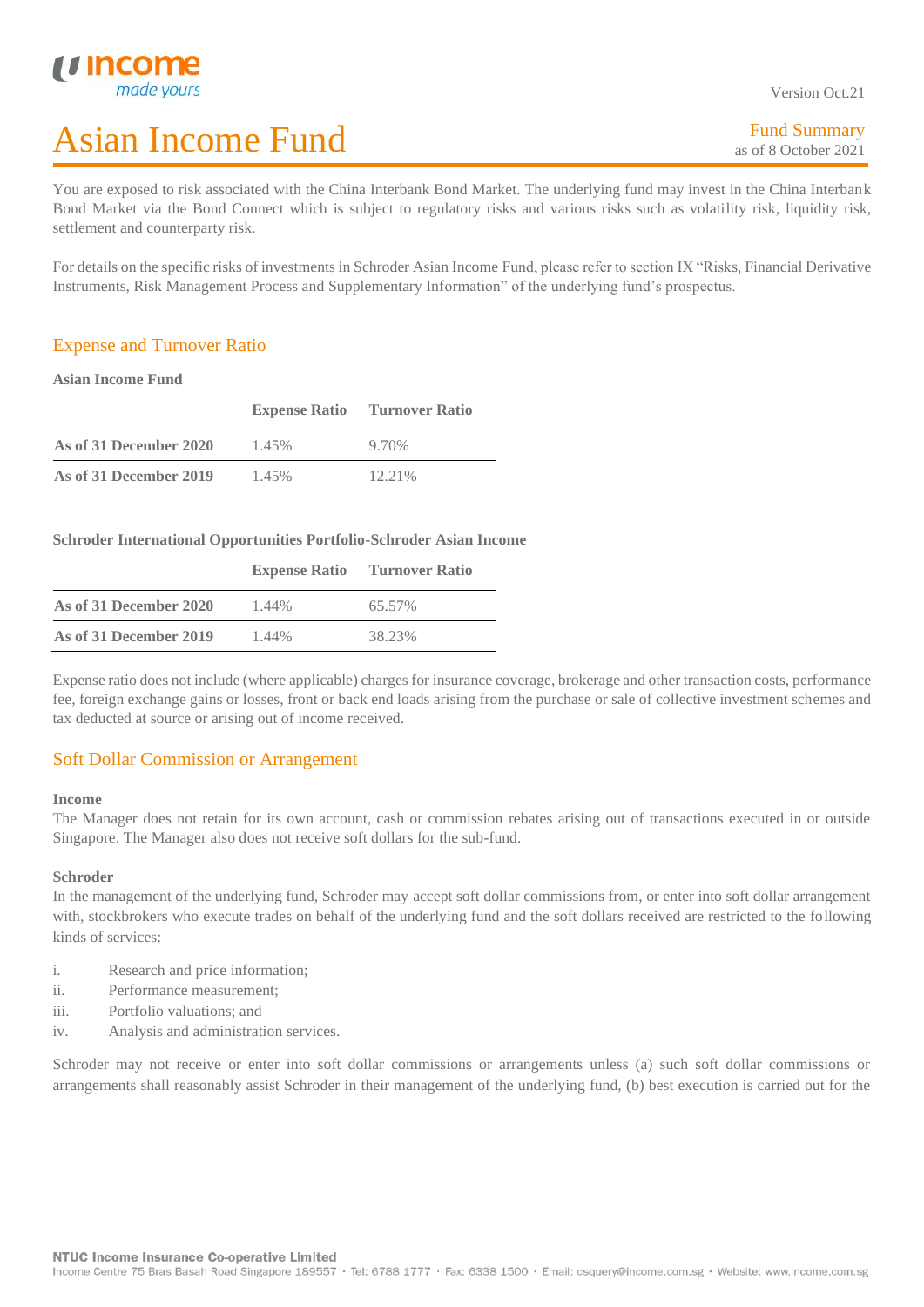Version Oct.21

You are exposed to risk associated with the China Interbank Bond Market. The underlying fund may invest in the China Interbank Bond Market via the Bond Connect which is subject to regulatory risks and various risks such as volatility risk, liquidity risk, settlement and counterparty risk.

For details on the specific risks of investments in Schroder Asian Income Fund, please refer to section IX "Risks, Financial Derivative Instruments, Risk Management Process and Supplementary Information" of the underlying fund's prospectus.

## Expense and Turnover Ratio

### **Asian Income Fund**

L

|                        | <b>Expense Ratio</b> Turnover Ratio |           |
|------------------------|-------------------------------------|-----------|
| As of 31 December 2020 | 1.45%                               | 9.70%     |
| As of 31 December 2019 | 1.45%                               | $12.21\%$ |

**Schroder International Opportunities Portfolio-Schroder Asian Income** 

|                        | <b>Expense Ratio</b> | <b>Turnover Ratio</b> |
|------------------------|----------------------|-----------------------|
| As of 31 December 2020 | 1.44%                | 65.57%                |
| As of 31 December 2019 | 1.44%                | 38.23%                |

Expense ratio does not include (where applicable) charges for insurance coverage, brokerage and other transaction costs, performance fee, foreign exchange gains or losses, front or back end loads arising from the purchase or sale of collective investment schemes and tax deducted at source or arising out of income received.

## Soft Dollar Commission or Arrangement

#### **Income**

The Manager does not retain for its own account, cash or commission rebates arising out of transactions executed in or outside Singapore. The Manager also does not receive soft dollars for the sub-fund.

### **Schroder**

In the management of the underlying fund, Schroder may accept soft dollar commissions from, or enter into soft dollar arrangement with, stockbrokers who execute trades on behalf of the underlying fund and the soft dollars received are restricted to the following kinds of services:

- i. Research and price information;
- ii. Performance measurement;
- iii. Portfolio valuations; and
- iv. Analysis and administration services.

Schroder may not receive or enter into soft dollar commissions or arrangements unless (a) such soft dollar commissions or arrangements shall reasonably assist Schroder in their management of the underlying fund, (b) best execution is carried out for the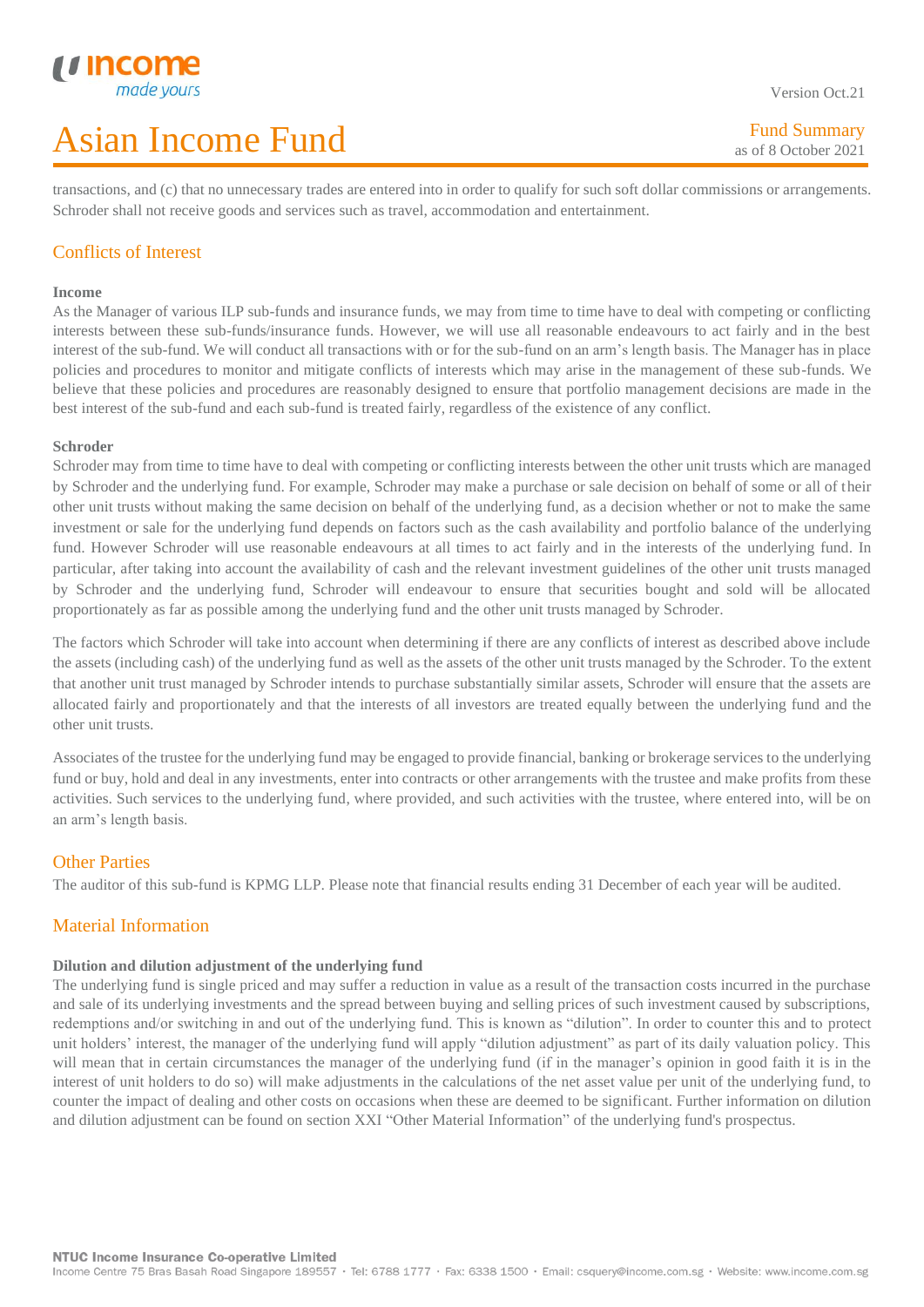transactions, and (c) that no unnecessary trades are entered into in order to qualify for such soft dollar commissions or arrangements. Schroder shall not receive goods and services such as travel, accommodation and entertainment.

## Conflicts of Interest

#### **Income**

L

As the Manager of various ILP sub-funds and insurance funds, we may from time to time have to deal with competing or conflicting interests between these sub-funds/insurance funds. However, we will use all reasonable endeavours to act fairly and in the best interest of the sub-fund. We will conduct all transactions with or for the sub-fund on an arm's length basis. The Manager has in place policies and procedures to monitor and mitigate conflicts of interests which may arise in the management of these sub-funds. We believe that these policies and procedures are reasonably designed to ensure that portfolio management decisions are made in the best interest of the sub-fund and each sub-fund is treated fairly, regardless of the existence of any conflict.

### **Schroder**

Schroder may from time to time have to deal with competing or conflicting interests between the other unit trusts which are managed by Schroder and the underlying fund. For example, Schroder may make a purchase or sale decision on behalf of some or all of their other unit trusts without making the same decision on behalf of the underlying fund, as a decision whether or not to make the same investment or sale for the underlying fund depends on factors such as the cash availability and portfolio balance of the underlying fund. However Schroder will use reasonable endeavours at all times to act fairly and in the interests of the underlying fund. In particular, after taking into account the availability of cash and the relevant investment guidelines of the other unit trusts managed by Schroder and the underlying fund, Schroder will endeavour to ensure that securities bought and sold will be allocated proportionately as far as possible among the underlying fund and the other unit trusts managed by Schroder.

The factors which Schroder will take into account when determining if there are any conflicts of interest as described above include the assets (including cash) of the underlying fund as well as the assets of the other unit trusts managed by the Schroder. To the extent that another unit trust managed by Schroder intends to purchase substantially similar assets, Schroder will ensure that the assets are allocated fairly and proportionately and that the interests of all investors are treated equally between the underlying fund and the other unit trusts.

Associates of the trustee for the underlying fund may be engaged to provide financial, banking or brokerage services to the underlying fund or buy, hold and deal in any investments, enter into contracts or other arrangements with the trustee and make profits from these activities. Such services to the underlying fund, where provided, and such activities with the trustee, where entered into, will be on an arm's length basis.

## Other Parties

The auditor of this sub-fund is KPMG LLP. Please note that financial results ending 31 December of each year will be audited.

## Material Information

### **Dilution and dilution adjustment of the underlying fund**

The underlying fund is single priced and may suffer a reduction in value as a result of the transaction costs incurred in the purchase and sale of its underlying investments and the spread between buying and selling prices of such investment caused by subscriptions, redemptions and/or switching in and out of the underlying fund. This is known as "dilution". In order to counter this and to protect unit holders' interest, the manager of the underlying fund will apply "dilution adjustment" as part of its daily valuation policy. This will mean that in certain circumstances the manager of the underlying fund (if in the manager's opinion in good faith it is in the interest of unit holders to do so) will make adjustments in the calculations of the net asset value per unit of the underlying fund, to counter the impact of dealing and other costs on occasions when these are deemed to be significant. Further information on dilution and dilution adjustment can be found on section XXI "Other Material Information" of the underlying fund's prospectus.